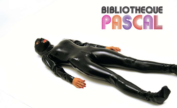# **BIBLIOTHEQUE** PASCA

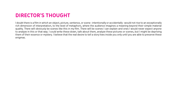# **Director's Thought**

I doubt there is a film in which an object, picture, sentence, or scene - intentionally or accidentally - would not rise to an exceptionally rich dimension of interpretation, to the level of metaphors, where the audience imagines a meaning beyond their simple material quality. There will obviously be scenes like this in my film. There will be scenes I can explain and ones I would never expect anyone to analyze in this or that way. I could write these down, talk about them, analyze these pictures or scenes, but I might be depriving them of their essence or mystery. I believe that the real desire to tell a story lives inside you only until you are able to preserve these enigmas.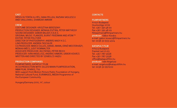#### CAST

ORSOLYA TÖRÖK-ILLYÉS, OANA PELLEA, RAZVAN VASILESCU ANDI VASLUIANU, SHAMGAR AMRAM

#### CREW

COSTUME DESIGNER: KRISZTINA BERZSENYI PRODUCTION DESIGNER: MÓNIKA ESZTÁN, PÉTER MÁTYÁSSY SOUND DESIGNER: GÁBOR BALÁZS H.A.E.S. ORIGINAL MUSIC: FLANGER, BURNT FRIEDMAN AND ATOM ™ EDITOR: PÉTER POLITZER DIRECTOR OF PHOTOGRAPHY: ANDRÁS NAGY H.S.C. LINE-PRODUCER: ANDREA TASCHLER CO-PRODUCER: MARCO GILLES, DANIEL MANN, ERNO MESTERHÁZY, MÓNIKA MÉCS, JUDIT ROMWALTER ASSOCIATE PRODUCER: ÁGI PATAKI, PÉTER REICH PRODUCER: IVÁN ANGELUSZ, ANDRAS HAMORI, GÁBOR KOVÁCS WRITTEN AND DIRECTED BY SZABOLCS HAJDU

#### production companies

FILMPARTNERS, KATAPULT FILM IN CO-PRODUCTION WITH: GILLES MANN FILMPRODUKTION, .M&M FILM, SPARKS, TV2 With support from Motion Picture Public Foundation of Hungary, National Cultural Fund, EURIMAGES, MEDIA Programme of the European Community

Hungary/Germany 2010, 111', colour

#### **CONTACTS**

#### **FILMPARTNERS**

H-1021 Budapest Huvösvölgyi út 62 Tel. +36 1 391 48 00 Fax +36 1 391 48 09 filmpartners@filmpartners.hu producer: Gábor Kovács e-mail: gabor.kovacs@filmpartners.hu tel: 0036 30 933 4324

#### Katapult Film

H-1023 Budapest Frankel Leó 21-23. Tel. +36 1 787 3558 Fax +36 1 787 3558 office@katapultfilm.hu producer: Iván Angelusz e-mail: angelusz@katapultfilm.hu tel: 0036 30 9511222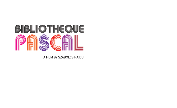

A FILM BY SZABOLCS HAJDU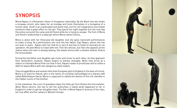# **SYNOPSIS**

Mona Paparu is a Romanian citizen of Hungarian nationality. By the Black Sea she meets a runaway convict, who takes her as hostage and locks themselves in a bungalow of a tourist camp. Viorel is an uneducated and dumb man, but his rich imagination and simple emotions have a great effect on the girl. They spend the night together but the next day the police surround the camp and kill Viorel while he is trying to escape. The fruit of Mona and Viorel's relationship is a baby girl whom Mona names Viorica…

Mona is alone with her three-year-old daughter and she gives marionett performances to make a living. At a performance she runs into her father, Gigi Paparu, whom she has not seen in years. Paparu tells her that he is very ill and has to travel to Germany for an operation. He asks Mona to travel with him. First she refuses, but then she appears at the station when the train is already leaving. She leaves Viorica with a distant relative, Rodica the fortuneteller.

During the trip father and daughter get closer and closer to each other. As they approach their destination, however, Paparu begins to behave strangely. When they arrive at a station in Germany Mona finds out that in fact, Paparu trades in prostitutes and to settle a debt he leaves Mona with two dangerous slave traders.

They smuggle Mona and several other East European girls to England in the back of a truck. Mona is to work for Pascal, who is the owner of a brothel camouflaged as a literary café called Bibliothèque Pascal. Mona is supposed to satisfy the desires of the rich clientele in the hidden rooms of the brothel.

In the meantime, the court of guardians takes the little girl from Rodica the fortuneteller. When Mona returns, she has to tell the authorities in detail what happened to her in England in order to get her daughter back. The film is Mona Paparu's account of her trips, her love affair and her calvary in Western Europe.

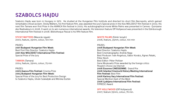# **SZABOLCS HAJDU**

Szabolcs Hajdu was born in Hungary in 1972. He studied at the Hungarian Film Institute and directed his short film Necropolis, which gained remarkable critical acclaim. Sticky Matters, his first feature film, was awarded the Jury's Special prize in the Kiev MOLODIST film festival in 2003. His next film Tamara won first Prize in the AVANCA film festival in 2005. His autobiographical movie White Palms was presented in Cannes - Quinzaine des Realisateurs in 2006. It went on to win numerous international awards. His television feature Off Hollywood was presented in the Edinborough International Film Festival in 2008. Bibliotheque Pascal is his fifth feature film.

STICKY MATTERS (Macerás ügyek) 2000, feature, 35mm, colour, 100 min

Prizes: 2001 Budapest Hungarian Film Week: Best First Film Director: Szabolcs Hajdu 2001 Kiev MOLODIST International Film Festival: Special Prize of the Jury

TAMARA (Tamara) 2004, feature, 35mm, colour, 75 min

Prizes: 2005 Avanca Film Festival: Cinema Prize 2004 Budapest Hungarian Film Week:

Special Prize of the Jury for Best Production Design to Szabolcs Hajdu, István Szaladják and Mónika Esztán WHITE PALMS (Fehér tenyér) 2006, feature, 35mm, colour, 100 min

Prizes:

2006 Budapest Hungarian Film Week Best Director: Szabolcs Hajdu Best Cinematography: András Nagy Best Producer: Iván Angelusz, Gábor Kovács, Ágnes Pataki, Péter Reich Best Editor: Péter Politzer Gene Moskowitz Prize awarded by the foreign critics People's Choice via Internet 2006 Essonne CINESSONNE: Grand Prix 2006 Istanbul Cinema & History Meeting International Film Festival: Best Film 2006 Karlovy Vary International Film Festival: Special Mention East of the West 2006 Ljubljana International Film Festival: FIPRESCI Award

Off Hollywood (Off Hollywood) 2007, feature 35mm, colour, 76 min.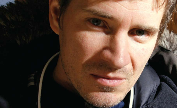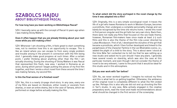### **Szabolcs Hajdu about Bibliotheque Pascal**

#### For how long have you been working on Bibliothèque Pascal?

SZH: I basically came up with the concept of Pascal 10 years ago when I was making Sticky Matters.

#### Does it often happen that you are already thinking about your next move while you still making a film?

SZH: Whenever I am shooting a film, it feels great to start something new, not to mention how this is an opportunity to escape. This is like an island where you can escape to from every single problem and trouble arising in the present in connection with the film being shot. I generally make good progress at such times. After a certain point, I prefer thinking about anything other than the film I am actually shooting. During the shooting of Sticky Matters it was Pascal that represented this fresh, new area. I worked in Romania as an actor, during which period I began putting the pieces of my first film together, and then I wrote a short novel from these around the time I was making Tamara, my second film.

#### Is this the final version of a finished novel?

SZH: Yes, this is a nearly 20-page short-story. In any case, every one of my films are based on literature, either novels or excerpts from dramas, or even an entire drama, like in the case of Tamara, which we performed on stage before actually making the film.

#### To what extent did the story portrayed in the novel change by the time it was adapted into a film?

SZH: Originally, this is a very simple sociological novel: it traces the life of a girl who leaves Romania to work in Western Europe, becomes a prostitute, then undergoes a complete personality change and can barely be recognised by the time she returns home. I wrote this novel in first person singular and the girl tells her very own story. Back then, there were not really any films that focused on the sex trade theme; however, Romanian film-makers have since made at least 2-3 such films and this is also the theme of the film Lilja 4-ever directed by Lukas Moodysson. First of all, I developed the storyline of the girl that became a prostitute, which I then further developed and linked to the paraphrases of the character Fantine in the Les Misérables scene, i.e., added the plight of a child to the story. This is about were I stood at the time Béla Tarr contacted me to tell me that he was setting up a new studio and asked me to join should I have any plans. I generally have several novels on stand-by, which was also the case at this particular moment, and even though I did not consider the theme of novel to be very relevant, I came to the point that it would be ideal for this studio and in this atmosphere.

#### Did you ever work with Tarr before?

SZH: No, we never worked together. I imagine he noticed my films and this is what led to us getting together. Otherwise, the ambiance of the original novel is completely different to what the film ended up like. Perhaps this is also why we did not end up shooting the film in Tarr's studio. In any case, Béla actively engaged in the creative preparatory work, read the novel and made recommendations about what should be changed in the first version of the screenplay.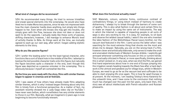#### What kind of changes did he recommend?

SZH: He recommended many things. He tried to remove trivialities and sneak special elements into the screenplay. He would also have liked me to make Mona less passive, since he was not impressed with how the main character hardly does anything, but simply lets things happen to her. Even when she knows she may get into trouble, she simply goes with the flow, because she does not dare or does not want to do the opposite. I actually really like these sorts of passive, drifting characters; however, I did manage to enhance Mona's level of activity thanks to Béla. As things went at the time, we mutually agreed to each go our own way, after which I began adding stylistic elements to the story.

#### Why do you like passive figures?

SZH: I prefer the leading actor to be the least typical character, who functions like a sort of black hole in the middle of the film. I attempt to bestow the lest possible character traits onto this figure; but naturally the figure becomes quite a character in the end, even though this figure was depicted as a passive onlooker in the screenplay. This is obviously because I myself am somewhat like this.

#### By the time you were ready with the story, films with similar themes began to appear in cinemas and at festivals.

SZH: I was aware of how others have already made films adapting similar themes, which is why I instead began thinking about why this film is timely from a functional perspective. As a matter of fact, my assistant recently showed me a Lady Gaga video clip on YouTube I have never seen before, which nonetheless has very similar elements to those in our film. Basically, what we imagined 2-3 years ago is now beginning to become functionally relevant.

#### What does this functional actuality mean?

SHZ: Materials, colours, extreme forms, continuous contrast of contradictory things; or using kitsch instead of harmony to create disharmony. I always try to break through the barriers of some sort of apathy. This is also what fashion is all about and certain films try to make an impact by using the same set of instruments. The way in which the Internet is capable of impacting people in all sorts of ways is also very exciting to me. It is easy, for example, to sit back and observe the wildest sexual habits; I wasn't the one who invented the latex fashion of the Bibliothèque Pascal luxury brothel, nor the vacuum bed featured in the film. I came across the latter when I was searching for the most extreme thing that shocks me the most and drives me to despair. Naturally, you are on the wrong track if a film, however clever and artistically elaborate, only serves to make the snob and enervated intellectuals of Western Europe dribble. I explicitly get annoyed whenever something only focuses on this or current trends. This is actually criticized in Pascal, or more specifically, thinking about this is what I picked on. In any case, when we shot the film, we gained first hand experiences about how in one end of Europe jumping into the irrigation canals heading towards the Black Sea after a hard day's work is the utmost and greatest joy for village boys, whilst in Western Europe, we need to go as far as the vacuum bed and suffocate to be able to start enjoying life once again. This is how far apart Europe is at present. At the moment, I am reading Tolstoy's Anna Karanina for the unteenth time, and I have come to the conclusion that nothing much has changed over the past 100-150 years, only back then, this story was all about intellectuals with French education and Russian pheasants.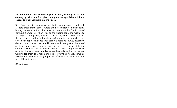You mentioned that whenever you are busy working on a film, coming up with new film plans is a great escape. Where did you escape to when you were making Pascal?

SZH: Sometime in summer when I had two free months and took a short break from Pascal I wrote the first version of a screenplay. During the same period, I happened to bump into Jim Stark, one of Jarmusch's producers, when I was on the judging panel of a festival, so we began contemplating what we could do together. I told him about this screenplay and the first application for funding we submitted has since been approved. I once took part in a sociology survey assessing deviant sub-cultures in eastern Hungary, and slavery after the era of political changes was one of its specific themes. This story tells the story of a criminal who is hidden away in a slave compound which once functioned as a cooperative, where, beyond marginalised people working for their daily ration and a roof over their heads, criminals also hide for shorter or longer periods of time, as it turns out from one of the interviews.

Gábor Köves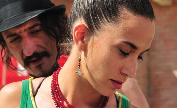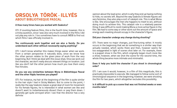## **Orsolya Török - Illyés about Bibliotheque Pascal**

#### A How many times have you worked with Szabolcs?

OTI: If counting feature films, this is the fourth time; however, this is a tricky question, since I was also very much involved in the films I did not play any role in. I too sometimes have to consult IMDB to find out which films I was officially involved in.

#### You continuously work together and are also a family. Do you understand each other without necessarily saying anything?

OTI: I don't know whether this makes things easier when we work. From a certain perspective it naturally does, since we know how the other person relates to the given piece of work from the very beginning. But I think we deal with this issue shyly. Once we work out the character, we don't really discuss relevant things on location. Just like you don't tell the other person how much you love them every five minutes.

#### Do you see any similarities between Mona in Bibliothèque Pascal and the other Hajdu heroines you played?

OTI: For instance, my hair at the beginning of the film is quite similar to the hair style I had in Sticky Matters. But to come to the point, I really like the way Szabolcs leaves a great deal of room for movement for his female figures; he is interested in what women are like and doesn't want to instantaneously dissect them or peg them down. I generally get quite annoyed when I see that the director has a very definite

opinion about the lead actor, which is why they end up having nothing to hide, no secrets left. Beyond the way Szabolcs's female figures are very feminine, they also play a sort of catalyst role. This is what Mona is like. She encourages the men she happens to meet to act, without doing much to achieve this. This catalyst role is a relatively passive thing; it was difficult to resist making Mona a more active figure in the film. We had to some way or other work out the amount of space and energy each meeting should occupy in the character's figure.

#### Did your character undergo any change during shooting?

OTI: There were no major changes, just fine-tuning rather. It mostly occurs in the beginning that we do something in a shriller way than actually needed, which works there and then, however seems far too exaggerated in light of scenes shot later on. For example, there is a puppet show in the film, which originally began much more like a show; however, when we shot the scene for the second time, the whole thing became more intimate and minimalist.

#### Does it help you build the character if you shoot in chronological order?

OTI: I am sure it would; however, in a film of this magnitude, this is practically impossible to execute. We managed to follow some sort of chronological sequence in the beginning; however, we were shooting the film for two years, which altogether excludes this possibility.

#### Is it difficult to pick up a scene that was not finished weeks or even months later?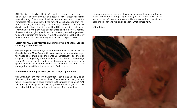OTI: This is practically potluck. We need to take aim once again. I do try, but it is very difficult, also because I never watch my scenes after shooting. This is even hard for me later on, not to mention immediately there and then. It has nevertheless happened that I felt that something was missing after finishing a given scene, but we didn't have to shoot it again, since that little something that makes everything fall into place was already there on the monitor, namely, the composition, lighting and co-actor. However, to do this, you need to see things from the outside, which the actor is incapable of; only the director is able to view things from an external perspective.

#### Except for you, mostly Romanian actors played in the film. Did you know any of them before?

OTI: Seeing I am from Mures, I knew them very well; Razvan Vasilescu, Oana Pellea and Mihai Constantin were my role models as a teenager for whose sake I travelled all the way to Bucharest just to see them on stage. At the beginning of the 90s, which coincides with my teenage years, Romanian theatre and cinematography was experiencing a golden age and these actors were in the limelight at the time. I later managed to pass this enthusiasm on to Szabolcs, too.

#### Did the Mures filming location give you a slight upper hand?

OTI: Whenever I am shooting on location, I could just as easily be on the moon; this is about the way I feel. There was a moment, though, when I was sitting at a zebra crossing in the middle of Mures at 3:30 a.m. getting make-up put on; this really did seem absurd, since all this was actually taking place on the main square of my home town.

However, whenever we are filming on location, I generally find it impossible to relax and go sight-seeing; at such times, I even hate having a day off, since I am constantly preoccupied with what has happened so far and feel anxious about what comes next.

Gábor Köves

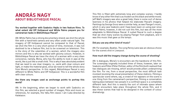### **András Nagy about Bibliotheque Pascal**

#### You worked together with Szabolcs Hajdu in two feature films. To what extent did Off Hollywood and White Palms prepare you for cameraman tasks in Bibliothèque Pascal?

AN: White Palms has a strong documentary strand; we shot the whole film with a hand-held camera and very often under natural light. The imagery of Off Hollywood cannot be compared to that of Pascal; we shot the film in a very short period of time, moreover, it was not destined to be a feature film, but to be screened on television. This is the story of the calamities of a women, which the imagery also mirrors and this is why we worked with gloomy colours. However, in Bibliothèque Pascal we trace the story of a woman with a very clean conscience, namely, Mona, who has the ability to look in awe at the world, like a just like a small child. This is why it was absolutely evident that we need to use clear imagery, i.e., work with clear colours and light, or make the material glow, since we need to tell the whole story from Mona's perspective. In this regard, Bibliothèque Pascal is very different to White Palms and Off Hollywood. This is a wonderful film with clear colours.

#### Are there any images used as anchorage points to portray this world?

AN: In the beginning, when we began to work with Szabolcs on this film, we selected a good number of images, films and music as references, for example, the 1964 film classic I am Cuba directed by Kalatazov.

This film is filled with extremely long and complex scenes; I hardly know of any other film that is as modern as this black and white movie. Jeff Wall's imagery was also a great help; there is some sort of dense leanness in his photos that helped me elaborate Pascal's imagery. Paintings by George Grosz were a similar help, as was Flanger's music, which in any case Szabolcs and I have been keen on using ever since White Palms; however, it did not suit this film, but was all the more adaptable to Bibliothèque Pascal. It suited Pascal to such a degree that we shot many scenes by playing Flanger from playback, and it was this music that gave us the tempo.

#### Did you use any other kind of music?

AN: For example, Beatles. The song Penny Lane was an obvious choice for the scenes shot in Liverpool.

#### How much did the imagery change during the course of shooting?

AN: 5 dialogues, Mona's 5 encounters are the backbone of this film. The screenplay originally included three of these; however, later on Szabolcs and Péter (Péter Politzer, editor of the film) both realised that two dialogues are missing, which would provide pillars underpinning the film. For me, from a visual perspective, the most difficult task involved resolving the visual presentation of these stations. Filming a spectacular scene where, say, a crowd of 100 appears on the scene is one thing from the cameraman's perspective; filming a conservation taking place between two people in a confined space is a completely different task. And this is exactly the sort of intimate space where Mona's encounters take place throughout the whole film, and it was these scenes that had to be designed in the context of colour dramaturgy.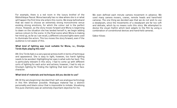For example, there is a red room in the luxury brothel of the Bibliothèque Pascal. Mona basically has no idea where she is or what will happen the first time she enters this rooms. We knew beforehand that we need to choose an extremely strong monochrome venue evoking strong emotions, for which the colour red is the perfect choice. However, as the story moves forward and Mona is beginning to dawn on the situation she has landed herself in, we begin adding various colours to the scene. In the final scene when Mona is making her mind up, as far as I can recall, 4 different coloured lights were used to illuminate the actors. This too moves the story forward, even if the audience is not aware of this.

#### What kind of lighting was most suitable for Mona, i.e., Orsolya Török-Illyés playing this role?

AN: Orsi Török-Ilyés is a very special actress both in terms of technique and appearance. She is easy to light; however, too harsh lighting needs to be avoided. Highlighting her eyes is what suits her best. This is particularly relevant in this story. I had to come up with different sorts of lighting for each actor and actress; however, I had to rely on Orsolya's lighting for finding the lighting that best suits their facecharacter.

#### What kind of materials and techniques did you decide to use?

AN: At the very beginning I decided that I will use analogue technology in this film wherever possible. Analogue material has a distinct personality and black colour that is impossible to imitate. Visualising this pure chemistry was an extremely important objective for me.

We even defined each minute camera movement in advance. We used many camera movers, cranes, remote heads and hand-held cameras. The one thing we decided was that we do not wish to use a steadycam, since the movements of a steadycam are far too soft and delicate, which by no means suits this story. We attempted to devise the visual rhythm which best adapts to the film by using a combination of conventional devices and hand-held cameras.

Gábor Köves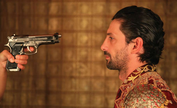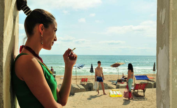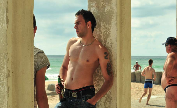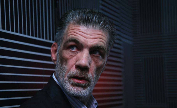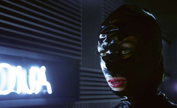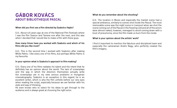### **Gábor Kovács about Bibliotheque Pascal**

#### When did you first see a film directed by Szabolcs Hajdu?

G.K.: About 5-6 years ago at one of the National Film Festivals where I saw the film Season and Tamara one after the next, and this was when I decided that I would like to make a film with these guys.

#### How many times have you worked with Szabolcs and which of his films did you like most?

G.K.: This is the second time I worked with Szabolcs after making White Palms. I like every one of his films, but perhaps White Palms is my favourite.

#### In your opinion what is Szabolcs's approach to film-making?

G.K.: Every one of his films radiates his talent and the intent that he definitely has an opinion about the world. The lack of screenplays and the way in which the directors themselves actually write the screenplays are in my view serious problems in Hungarian cinematography. Szabolcs is an exception in this regard; he is an excellent writer, which is why the film unfolds before our very eyes when reading the script, especially because we are familiar with his style and way of thinking.

He even knows who to select for his ideas to get through to the audience and is always great at choosing the right actor.

#### What do you remember about the shooting?

G.K.: The location in Mures and especially the market scene had a special ambiance, similarly to scenes shot inside the Pascal. The most memorable scene was the night scene in Liverpool when we shot the scene coming out of the Pascal in the freezing cold and all of the actors were almost naked, however, managed to avoid coming down with a bout of pneumonia, since the film made us burn from the inside.

#### What is your opinion about the artists' work?

I find it important to mention the fabulous and disciplined team and especially the cameraman Andris Nagy, who perfectly created the film's imagery.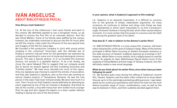### **Iván Angelusz about Bibliotheque Pascal**

#### How did you meet Szabolcs?

 $IA: At the turn of the million limit more some friends and went to$ the cinema. We definitely wanted to see a Hungarian movie, so we decided to choose the first film of an unknown director. And this was Sticky Matters. Some of my friends were baffled by the scenes; however, we undeniably continued to discuss the film for hours after we left the cinema. I was under the influence of the very special tone and imagery of the film for many days.

We founded a film production company in 2002 with young artists studying in the "notorious" Simó-class, with the ultimate aim of finding a common cultural home for the generation we represent by uniting and searching for some sort of moral and ideological common ground. This was a special venture. 12 of us founded this business venture, not exactly in a capitalist fashion. To be a bit cheeky, we chose the name Katapult Film to suggest that our company would like to launch an assault against old and crumbling structures and "fortified castles". We have since naturally lost much of this vigour. Only one signature was missing to submit the articles of association, and that was Szabolcs's signature, who at the time was working on various theatre projects in Transylvania, Romania. He was the only person in the class I had never met personally. We were very much in a rush. Then I found out that Szabolcs would definitely be attending an event organised at one of the art cinemas in Budapest. And there he was at the counter, a boy with messy hair who looked much younger than his age and who signed the papers on a beer coaster without reading or going over any of the documents.

#### In your opinion, what is Szabolcs's approach to film-making?

 $IA:$  Szabolcs is an absolute maximalist. It is difficult to convince him on the grounds of simple, materialistic arguments. On many occasions, he continues to believe and clings onto things we have long abandoned or which seem impossible to us from a producer's angle. He doesn't believe in losing the ball, which often causes tedious moments. It is most certain that this power to convince and this faith are among the greatest seals of his talent.

#### How does B. P. rate in relation to the director's earlier films?

I.A.: BIBLIOTHEQUE PASCAL is a truly unique film, however, still bears traits characteristic of the work of Szabolcs Hajdu. Many of the themes portrayed in White Palms focusing on Eastern European existence or the wide horizons of freedom suddenly opening up re-emerge in B.P. However, White Palms is more realistic and is largely based on real-life events. As regards its style, Bibliotheque Pascal retains much of the audacity of Sticky Matters and the magic of Tamara; however, this film definitely creates a new visual language.

#### What do you think about his earlier films; since when have you been following his work?

I.A.: We became quite close during the editing of Szabolcs's second film, Tamara. Szabolcs and the editor often invited me to show where they are up to in the seemingly everlasting editing process. I was taken aback by his continuous persistence with which he tried out the most diverse possible range of music, combinations, cues, as well as the way he believed in them, and then suddenly decided against them.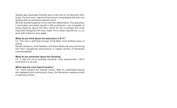Tamara was eventually finished and is still one of my favourite films today. The first time I saw the final version I immediately felt that I am dealing with an extremely talented artist.

We then worked together on his next film, White Palms. This was when I irrevocably committed myself to film production. I am incapable of being objective about this film, which for me is perhaps the most important Hungarian film ever made. This is what inspired me, i.e., to work with Szabolcs once again.

#### What do you think about the lead actors in B. P.?

I.A.: This role is definitely Orsolya Török-Illyés' most brilliant piece of acting.

Razvan Vasilescu, Andi Vasilianu and Oana Pellea are very convincing and their exceptional performance is indeed worthy of Romanian cinematography.

#### What do you remember about the shooting?

I.A.: It was the most gruelling shooting I ever experienced. I don't mind that it is all over.

#### Which was the most typical location?

I.A.: I best enjoyed the seaside scenes. With its undeniable beauty and awkward post-communists chaos, the Romanian seaside proved a matchless choice.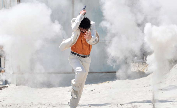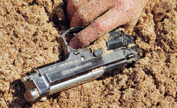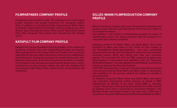### **Filmpartners Company Profile**

Filmpartners was founded in 1993. The company is one of the largest private financiers and private fundraisers for Hungarian feature films. In addition to co-producing Delta, they produced White Palms by Szabolcs Hajdu (Director's Fortnight 2006 and Special Jury Prize Karlovy Vary), Overnight by Ferenc Török (2007), Black Brush (Grand Prize 36th Hungarian Film Festival and Thessaloniki Film Festival 2004).

### **Katapult Film Company Profile**

Katapult Film Ltd was founded in 2002 by members of the intellectual workshop of Sandor Simo, the outstanding filmmaker and teacher. After graduating from the College of Film and Theatre Arts in 2000 the eight directors and two editors decided to continue their collaboration as professionals, inviting two producers to handle the business side. Katapult boasts some of the best young directorial talent in Hungary. The company's main activities are experimental, feature films, shorts, commercials and documentary making. Up until now, Katapult Film has produced eight feature films, several shorts, documentaries and animations.

### **gilles mann filmproduktion company profile**

Based in Germany, Cologne, gilles·mann filmproduktion develops and produces both national and international motion pictures made for TV or theatrical release.

The ambition is the creation of entertaining programs by means of sophisticated stories and strong emotions with the prospect of a responsive and numerous audience.

Managing partners are Marco Gilles and Daniel Mann. Short films produced by Mann and Gilles in the course of their studies at the Filmakademie Baden-Wuerttemberg have been successfully presented at more than 350 film festivals in more than sixty countries, including Cannes, Berlin and Venice and have won numerous awards. The corporate film JUST IN TIME, produced by gilles·mann filmproduktion in association with teamWorx, won the "Deutscher Wirtschaftsfilmpreis" and was awarded the Gold Medal, as well as the Grand Jury Award by the New York Festivals.

FUGITIVES (working title), a two-part mini-series directed by Andreas Linke and produced by Daniel Mann und Marco Gilles in association with teamWorx for the German network Pro Sieben is currently in post-production.

As freelance producers, Marco Gilles and Daniel Mann also aquire and coproduce international motion pictures on behalf of MMC Independent, an affiliate of the major Studio MMC in Germany, Cologne. First project of the joint venture was the film CHÉRI, directed by Stephen Frears from a screenplay by Christopher Hampton, with Michelle Pfeiffer and Rupert Friend in the lead roles. CHÉRI was in competition last year's Berlinale and distributed worldwide by Pathé.